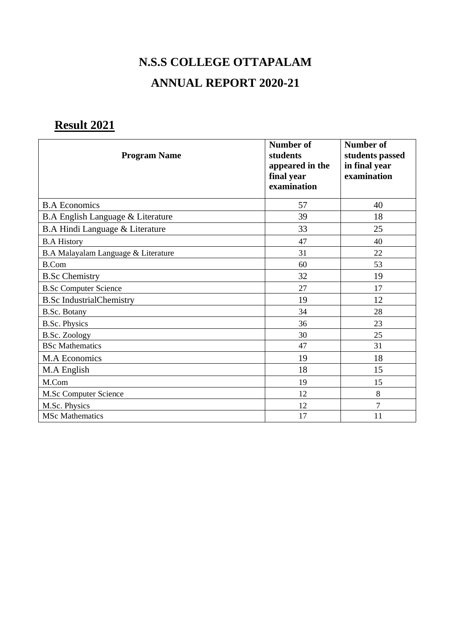# **N.S.S COLLEGE OTTAPALAM ANNUAL REPORT 2020-21**

# **Result 2021**

| <b>Program Name</b>                 | Number of<br>students<br>appeared in the<br>final year<br>examination | Number of<br>students passed<br>in final year<br>examination |
|-------------------------------------|-----------------------------------------------------------------------|--------------------------------------------------------------|
| <b>B.A Economics</b>                | 57                                                                    | 40                                                           |
| B.A English Language & Literature   | 39                                                                    | 18                                                           |
| B.A Hindi Language & Literature     | 33                                                                    | 25                                                           |
| <b>B.A History</b>                  | 47                                                                    | 40                                                           |
| B.A Malayalam Language & Literature | 31                                                                    | 22                                                           |
| <b>B.Com</b>                        | 60                                                                    | 53                                                           |
| <b>B.Sc Chemistry</b>               | 32                                                                    | 19                                                           |
| <b>B.Sc Computer Science</b>        | 27                                                                    | 17                                                           |
| <b>B.Sc IndustrialChemistry</b>     | 19                                                                    | 12                                                           |
| <b>B.Sc. Botany</b>                 | 34                                                                    | 28                                                           |
| <b>B.Sc. Physics</b>                | 36                                                                    | 23                                                           |
| <b>B.Sc. Zoology</b>                | 30                                                                    | 25                                                           |
| <b>BSc Mathematics</b>              | 47                                                                    | 31                                                           |
| <b>M.A Economics</b>                | 19                                                                    | 18                                                           |
| M.A English                         | 18                                                                    | 15                                                           |
| M.Com                               | 19                                                                    | 15                                                           |
| M.Sc Computer Science               | 12                                                                    | 8                                                            |
| M.Sc. Physics                       | 12                                                                    | $\overline{7}$                                               |
| <b>MSc Mathematics</b>              | 17                                                                    | 11                                                           |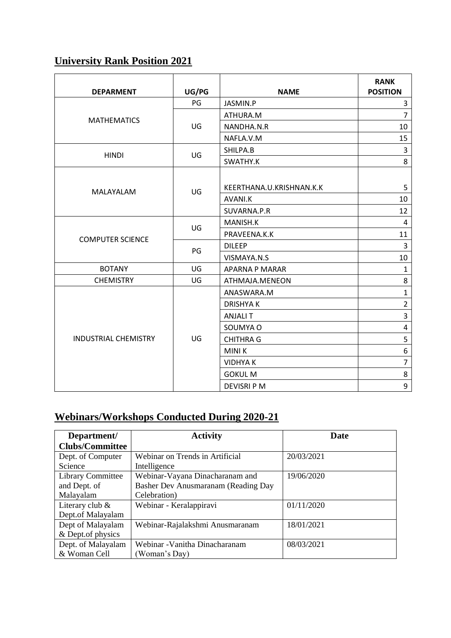# **University Rank Position 2021**

| <b>DEPARMENT</b>            | UG/PG | <b>NAME</b>              | <b>RANK</b><br><b>POSITION</b> |
|-----------------------------|-------|--------------------------|--------------------------------|
|                             | PG    | JASMIN.P                 | 3                              |
|                             | UG    | ATHURA.M                 | $\overline{7}$                 |
| <b>MATHEMATICS</b>          |       | NANDHA.N.R               | 10                             |
|                             |       | NAFLA.V.M                | 15                             |
| <b>HINDI</b>                | UG    | SHILPA.B                 | $\overline{3}$                 |
|                             |       | SWATHY.K                 | 8                              |
| MALAYALAM                   | UG    | KEERTHANA.U.KRISHNAN.K.K | 5                              |
|                             |       | AVANI.K                  | 10                             |
|                             |       | SUVARNA.P.R              | 12                             |
|                             | UG    | MANISH.K                 | 4                              |
| <b>COMPUTER SCIENCE</b>     |       | PRAVEENA.K.K             | 11                             |
|                             | PG    | <b>DILEEP</b>            | 3                              |
|                             |       | VISMAYA.N.S              | 10                             |
| <b>BOTANY</b>               | UG    | <b>APARNA P MARAR</b>    | $\mathbf{1}$                   |
| <b>CHEMISTRY</b>            | UG    | ATHMAJA.MENEON           | 8                              |
|                             | UG    | ANASWARA.M               | $\mathbf{1}$                   |
|                             |       | <b>DRISHYAK</b>          | $\overline{2}$                 |
|                             |       | <b>ANJALIT</b>           | $\overline{\mathbf{3}}$        |
|                             |       | SOUMYA O                 | 4                              |
| <b>INDUSTRIAL CHEMISTRY</b> |       | <b>CHITHRA G</b>         | 5                              |
|                             |       | <b>MINIK</b>             | 6                              |
|                             |       | <b>VIDHYAK</b>           | $\overline{7}$                 |
|                             |       | <b>GOKUL M</b>           | 8                              |
|                             |       | <b>DEVISRI P M</b>       | 9                              |

# **Webinars/Workshops Conducted During 2020-21**

| Department/              | <b>Activity</b>                     | Date       |
|--------------------------|-------------------------------------|------------|
| <b>Clubs/Committee</b>   |                                     |            |
| Dept. of Computer        | Webinar on Trends in Artificial     | 20/03/2021 |
| Science                  | Intelligence                        |            |
| <b>Library Committee</b> | Webinar-Vayana Dinacharanam and     | 19/06/2020 |
| and Dept. of             | Basher Dev Anusmaranam (Reading Day |            |
| Malayalam                | Celebration)                        |            |
| Literary club $\&$       | Webinar - Keralappiravi             | 01/11/2020 |
| Dept.of Malayalam        |                                     |            |
| Dept of Malayalam        | Webinar-Rajalakshmi Anusmaranam     | 18/01/2021 |
| & Dept.of physics        |                                     |            |
| Dept. of Malayalam       | Webinar - Vanitha Dinacharanam      | 08/03/2021 |
| & Woman Cell             | (Woman's Day)                       |            |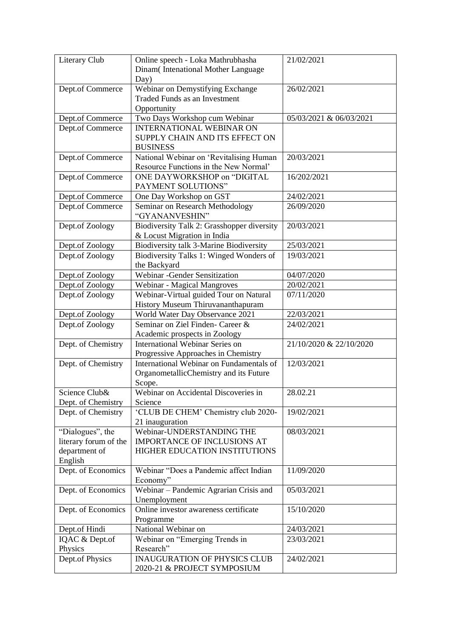| Literary Club         | Online speech - Loka Mathrubhasha          | 21/02/2021              |
|-----------------------|--------------------------------------------|-------------------------|
|                       | Dinam(Intenational Mother Language         |                         |
|                       | Day)                                       |                         |
| Dept.of Commerce      | Webinar on Demystifying Exchange           | 26/02/2021              |
|                       | Traded Funds as an Investment              |                         |
|                       |                                            |                         |
|                       | Opportunity                                |                         |
| Dept.of Commerce      | Two Days Workshop cum Webinar              | 05/03/2021 & 06/03/2021 |
| Dept.of Commerce      | <b>INTERNATIONAL WEBINAR ON</b>            |                         |
|                       | SUPPLY CHAIN AND ITS EFFECT ON             |                         |
|                       | <b>BUSINESS</b>                            |                         |
| Dept.of Commerce      | National Webinar on 'Revitalising Human    | 20/03/2021              |
|                       | Resource Functions in the New Normal'      |                         |
| Dept.of Commerce      | ONE DAYWORKSHOP on "DIGITAL                | 16/202/2021             |
|                       | PAYMENT SOLUTIONS"                         |                         |
| Dept.of Commerce      | One Day Workshop on GST                    | 24/02/2021              |
|                       |                                            | 26/09/2020              |
| Dept.of Commerce      | Seminar on Research Methodology            |                         |
|                       | "GYANANVESHIN"                             |                         |
| Dept.of Zoology       | Biodiversity Talk 2: Grasshopper diversity | 20/03/2021              |
|                       | & Locust Migration in India                |                         |
| Dept.of Zoology       | Biodiversity talk 3-Marine Biodiversity    | 25/03/2021              |
| Dept.of Zoology       | Biodiversity Talks 1: Winged Wonders of    | 19/03/2021              |
|                       | the Backyard                               |                         |
| Dept.of Zoology       | Webinar - Gender Sensitization             | 04/07/2020              |
| Dept.of Zoology       | Webinar - Magical Mangroves                | 20/02/2021              |
| Dept.of Zoology       | Webinar-Virtual guided Tour on Natural     | 07/11/2020              |
|                       | History Museum Thiruvananthapuram          |                         |
|                       |                                            |                         |
| Dept.of Zoology       | World Water Day Observance 2021            | 22/03/2021              |
| Dept.of Zoology       | Seminar on Ziel Finden- Career &           | 24/02/2021              |
|                       | Academic prospects in Zoology              |                         |
| Dept. of Chemistry    | <b>International Webinar Series on</b>     | 21/10/2020 & 22/10/2020 |
|                       | Progressive Approaches in Chemistry        |                         |
| Dept. of Chemistry    | International Webinar on Fundamentals of   | 12/03/2021              |
|                       | OrganometallicChemistry and its Future     |                         |
|                       | Scope.                                     |                         |
| Science Club&         | Webinar on Accidental Discoveries in       | 28.02.21                |
| Dept. of Chemistry    | Science                                    |                         |
| Dept. of Chemistry    | 'CLUB DE CHEM' Chemistry club 2020-        | 19/02/2021              |
|                       |                                            |                         |
|                       | 21 inauguration                            |                         |
| "Dialogues", the      | Webinar-UNDERSTANDING THE                  | 08/03/2021              |
| literary forum of the | IMPORTANCE OF INCLUSIONS AT                |                         |
| department of         | HIGHER EDUCATION INSTITUTIONS              |                         |
| English               |                                            |                         |
| Dept. of Economics    | Webinar "Does a Pandemic affect Indian     | 11/09/2020              |
|                       | Economy"                                   |                         |
| Dept. of Economics    | Webinar - Pandemic Agrarian Crisis and     | 05/03/2021              |
|                       | Unemployment                               |                         |
| Dept. of Economics    | Online investor awareness certificate      | 15/10/2020              |
|                       | Programme                                  |                         |
| Dept.of Hindi         | National Webinar on                        | 24/03/2021              |
|                       |                                            |                         |
| IQAC & Dept.of        | Webinar on "Emerging Trends in             | 23/03/2021              |
| Physics               | Research"                                  |                         |
| Dept.of Physics       | <b>INAUGURATION OF PHYSICS CLUB</b>        | 24/02/2021              |
|                       | 2020-21 & PROJECT SYMPOSIUM                |                         |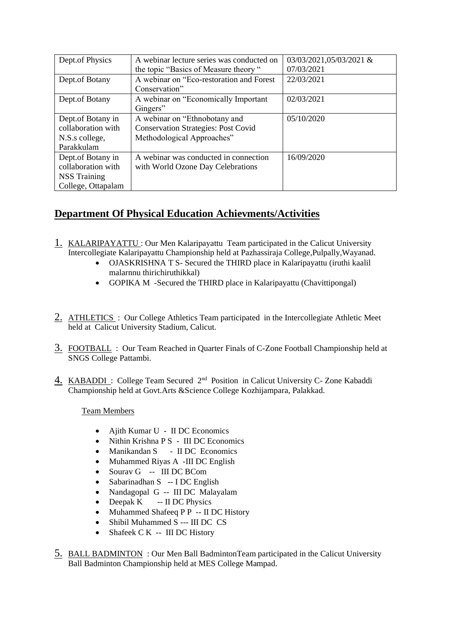| Dept.of Physics     | A webinar lecture series was conducted on  | 03/03/2021,05/03/2021 & |
|---------------------|--------------------------------------------|-------------------------|
|                     | the topic "Basics of Measure theory "      | 07/03/2021              |
| Dept.of Botany      | A webinar on "Eco-restoration and Forest"  | 22/03/2021              |
|                     | Conservation"                              |                         |
| Dept.of Botany      | A webinar on "Economically Important"      | 02/03/2021              |
|                     | Gingers"                                   |                         |
| Dept.of Botany in   | A webinar on "Ethnobotany and              | 05/10/2020              |
| collaboration with  | <b>Conservation Strategies: Post Covid</b> |                         |
| N.S.s college,      | Methodological Approaches"                 |                         |
| Parakkulam          |                                            |                         |
| Dept.of Botany in   | A webinar was conducted in connection      | 16/09/2020              |
| collaboration with  | with World Ozone Day Celebrations          |                         |
| <b>NSS</b> Training |                                            |                         |
| College, Ottapalam  |                                            |                         |

# **Department Of Physical Education Achievments/Activities**

- 1. KALARIPAYATTU : Our Men Kalaripayattu Team participated in the Calicut University Intercollegiate Kalaripayattu Championship held at Pazhassiraja College,Pulpally,Wayanad.
	- OJASKRISHNA T S- Secured the THIRD place in Kalaripayattu (iruthi kaalil malarnnu thirichiruthikkal)
	- GOPIKA M -Secured the THIRD place in Kalaripayattu (Chavittipongal)
- 2. ATHLETICS: Our College Athletics Team participated in the Intercollegiate Athletic Meet held at Calicut University Stadium, Calicut.
- 3. FOOTBALL : Our Team Reached in Quarter Finals of C-Zone Football Championship held at SNGS College Pattambi.
- 4. KABADDI: College Team Secured 2<sup>nd</sup> Position in Calicut University C- Zone Kabaddi Championship held at Govt.Arts &Science College Kozhijampara, Palakkad.

# Team Members

- Ajith Kumar U II DC Economics
- Nithin Krishna P S III DC Economics
- Manikandan S II DC Economics
- Muhammed Riyas A -III DC English
- Sourav G -- III DC BCom
- Sabarinadhan S -- I DC English
- Nandagopal G -- III DC Malayalam
- Deepak  $K$  -- II DC Physics
- Muhammed Shafeeq P P -- II DC History
- Shibil Muhammed S --- III DC CS
- Shafeek C K -- III DC History
- 5. BALL BADMINTON : Our Men Ball BadmintonTeam participated in the Calicut University Ball Badminton Championship held at MES College Mampad.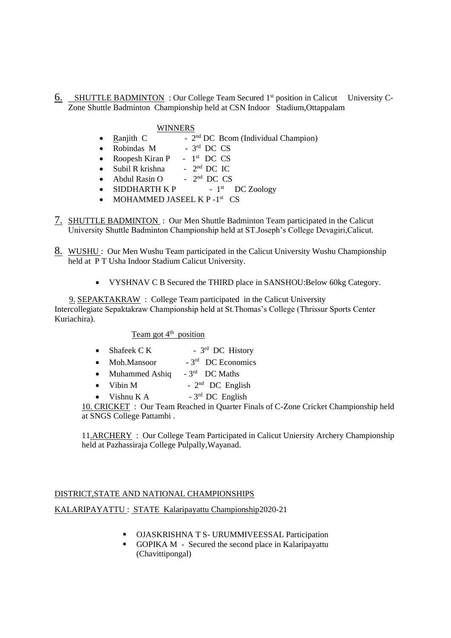6. SHUTTLE BADMINTON : Our College Team Secured 1<sup>st</sup> position in Calicut University C-Zone Shuttle Badminton Championship held at CSN Indoor Stadium,Ottappalam

#### WINNERS

- Ranjith C -  $2<sup>nd</sup> DC Bcom (Individual Chapman)$
- Robindas M rd DC CS
- Roopesh Kiran P  $1<sup>st</sup>$  DC CS
- Subil R krishna  $-2^{nd}$  DC IC
- Abdul Rasin O 2 nd DC CS
- SIDDHARTH K P 1 st DC Zoology
- MOHAMMED JASEEL K P-1<sup>st</sup> CS
- 7. SHUTTLE BADMINTON : Our Men Shuttle Badminton Team participated in the Calicut University Shuttle Badminton Championship held at ST.Joseph's College Devagiri,Calicut.
- 8. WUSHU: Our Men Wushu Team participated in the Calicut University Wushu Championship held at P T Usha Indoor Stadium Calicut University.
	- VYSHNAV C B Secured the THIRD place in SANSHOU:Below 60kg Category.

 9. SEPAKTAKRAW : College Team participated in the Calicut University Intercollegiate Sepaktakraw Championship held at St.Thomas's College (Thrissur Sports Center Kuriachira).

 $Team got 4<sup>th</sup> position$ 

- Shafeek  $C K$ <sup>rd</sup> DC History
- Moh Mansoor rd DC Economics
- Muhammed Ashiq <sup>rd</sup> DC Maths
- Vibin M -  $2<sup>nd</sup>$  DC English
- Vishnu K  $A$  $-3^{rd}$  DC English

10. CRICKET : Our Team Reached in Quarter Finals of C-Zone Cricket Championship held at SNGS College Pattambi .

11.ARCHERY : Our College Team Participated in Calicut Uniersity Archery Championship held at Pazhassiraja College Pulpally,Wayanad.

### DISTRICT,STATE AND NATIONAL CHAMPIONSHIPS

KALARIPAYATTU : STATE Kalaripayattu Championship2020-21

- OJASKRISHNA T S- URUMMIVEESSAL Participation
- GOPIKA M Secured the second place in Kalaripayattu (Chavittipongal)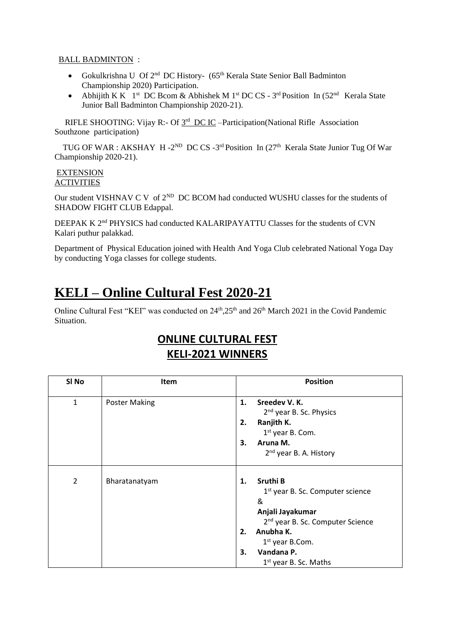### BALL BADMINTON :

- Gokulkrishna U Of  $2<sup>nd</sup>$  DC History- (65<sup>th</sup> Kerala State Senior Ball Badminton Championship 2020) Participation.
- Abhijith K K  $1^{st}$  DC Bcom & Abhishek M  $1^{st}$  DC CS  $3^{rd}$  Position In (52<sup>nd</sup> Kerala State Junior Ball Badminton Championship 2020-21).

RIFLE SHOOTING: Vijay R:- Of  $3<sup>rd</sup>$  DC IC -Participation(National Rifle Association Southzone participation)

TUG OF WAR : AKSHAY H -2<sup>ND</sup> DC CS -3<sup>rd</sup> Position In (27<sup>th</sup> Kerala State Junior Tug Of War Championship 2020-21).

#### EXTENSION **ACTIVITIES**

Our student VISHNAV C V of  $2^{ND}$  DC BCOM had conducted WUSHU classes for the students of SHADOW FIGHT CLUB Edappal.

DEEPAK K 2nd PHYSICS had conducted KALARIPAYATTU Classes for the students of CVN Kalari puthur palakkad.

Department of Physical Education joined with Health And Yoga Club celebrated National Yoga Day by conducting Yoga classes for college students.

# **KELI – Online Cultural Fest 2020-21**

Online Cultural Fest "KEI" was conducted on 24<sup>th</sup>,25<sup>th</sup> and 26<sup>th</sup> March 2021 in the Covid Pandemic Situation.

# **ONLINE CULTURAL FEST KELI-2021 WINNERS**

| SI No          | <b>Item</b>          | <b>Position</b>                                                                                                                                                                                                                                    |
|----------------|----------------------|----------------------------------------------------------------------------------------------------------------------------------------------------------------------------------------------------------------------------------------------------|
| $\mathbf{1}$   | <b>Poster Making</b> | Sreedev V.K.<br>1.<br>2 <sup>nd</sup> year B. Sc. Physics<br>Ranjith K.<br>2.<br>1 <sup>st</sup> year B. Com.<br>Aruna M.<br>3.<br>2 <sup>nd</sup> year B. A. History                                                                              |
| $\overline{2}$ | Bharatanatyam        | Sruthi B<br>1.<br>1 <sup>st</sup> year B. Sc. Computer science<br>&<br>Anjali Jayakumar<br>2 <sup>nd</sup> year B. Sc. Computer Science<br>Anubha K.<br>2.<br>1 <sup>st</sup> year B.Com.<br>Vandana P.<br>3.<br>1 <sup>st</sup> year B. Sc. Maths |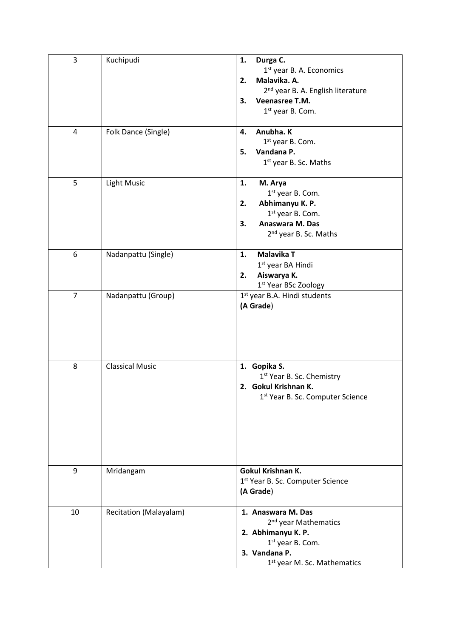| 3              | Kuchipudi              | Durga C.<br>1.<br>1 <sup>st</sup> year B. A. Economics<br>Malavika. A.<br>2.<br>2 <sup>nd</sup> year B. A. English literature<br>Veenasree T.M.<br>3.<br>1 <sup>st</sup> year B. Com. |
|----------------|------------------------|---------------------------------------------------------------------------------------------------------------------------------------------------------------------------------------|
| 4              | Folk Dance (Single)    | Anubha. K<br>4.<br>1 <sup>st</sup> year B. Com.<br>Vandana P.<br>5.<br>1 <sup>st</sup> year B. Sc. Maths                                                                              |
| 5              | <b>Light Music</b>     | 1.<br>M. Arya<br>1 <sup>st</sup> year B. Com.<br>Abhimanyu K. P.<br>2.<br>1 <sup>st</sup> year B. Com.<br>Anaswara M. Das<br>3.<br>2 <sup>nd</sup> year B. Sc. Maths                  |
| 6              | Nadanpattu (Single)    | <b>Malavika T</b><br>1.<br>1 <sup>st</sup> year BA Hindi<br>Aiswarya K.<br>2.<br>1st Year BSc Zoology                                                                                 |
| $\overline{7}$ | Nadanpattu (Group)     | 1 <sup>st</sup> year B.A. Hindi students<br>(A Grade)                                                                                                                                 |
| 8              | <b>Classical Music</b> | 1. Gopika S.<br>1 <sup>st</sup> Year B. Sc. Chemistry<br>2. Gokul Krishnan K.<br>1st Year B. Sc. Computer Science                                                                     |
| 9              | Mridangam              | Gokul Krishnan K.<br>1 <sup>st</sup> Year B. Sc. Computer Science<br>(A Grade)                                                                                                        |
| 10             | Recitation (Malayalam) | 1. Anaswara M. Das<br>2 <sup>nd</sup> year Mathematics<br>2. Abhimanyu K. P.<br>1 <sup>st</sup> year B. Com.<br>3. Vandana P.<br>1 <sup>st</sup> year M. Sc. Mathematics              |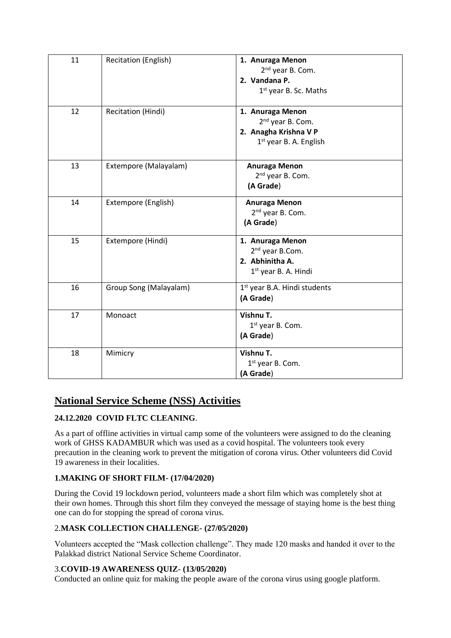| 11 | Recitation (English)   | 1. Anuraga Menon<br>2 <sup>nd</sup> year B. Com.<br>2. Vandana P.<br>1 <sup>st</sup> year B. Sc. Maths          |
|----|------------------------|-----------------------------------------------------------------------------------------------------------------|
| 12 | Recitation (Hindi)     | 1. Anuraga Menon<br>2 <sup>nd</sup> year B. Com.<br>2. Anagha Krishna V P<br>1 <sup>st</sup> year B. A. English |
| 13 | Extempore (Malayalam)  | Anuraga Menon<br>2 <sup>nd</sup> year B. Com.<br>(A Grade)                                                      |
| 14 | Extempore (English)    | Anuraga Menon<br>2 <sup>nd</sup> year B. Com.<br>(A Grade)                                                      |
| 15 | Extempore (Hindi)      | 1. Anuraga Menon<br>2 <sup>nd</sup> year B.Com.<br>2. Abhinitha A.<br>1 <sup>st</sup> year B. A. Hindi          |
| 16 | Group Song (Malayalam) | 1 <sup>st</sup> year B.A. Hindi students<br>(A Grade)                                                           |
| 17 | Monoact                | Vishnu T.<br>1 <sup>st</sup> year B. Com.<br>(A Grade)                                                          |
| 18 | Mimicry                | Vishnu T.<br>1 <sup>st</sup> year B. Com.<br>(A Grade)                                                          |

# **National Service Scheme (NSS) Activities**

# **24.12.2020 COVID FLTC CLEANING**.

As a part of offline activities in virtual camp some of the volunteers were assigned to do the cleaning work of GHSS KADAMBUR which was used as a covid hospital. The volunteers took every precaution in the cleaning work to prevent the mitigation of corona virus. Other volunteers did Covid 19 awareness in their localities.

# **1.MAKING OF SHORT FILM- (17/04/2020)**

During the Covid 19 lockdown period, volunteers made a short film which was completely shot at their own homes. Through this short film they conveyed the message of staying home is the best thing one can do for stopping the spread of corona virus.

# 2.**MASK COLLECTION CHALLENGE- (27/05/2020)**

Volunteers accepted the "Mask collection challenge". They made 120 masks and handed it over to the Palakkad district National Service Scheme Coordinator.

# 3.**COVID-19 AWARENESS QUIZ- (13/05/2020)**

Conducted an online quiz for making the people aware of the corona virus using google platform.